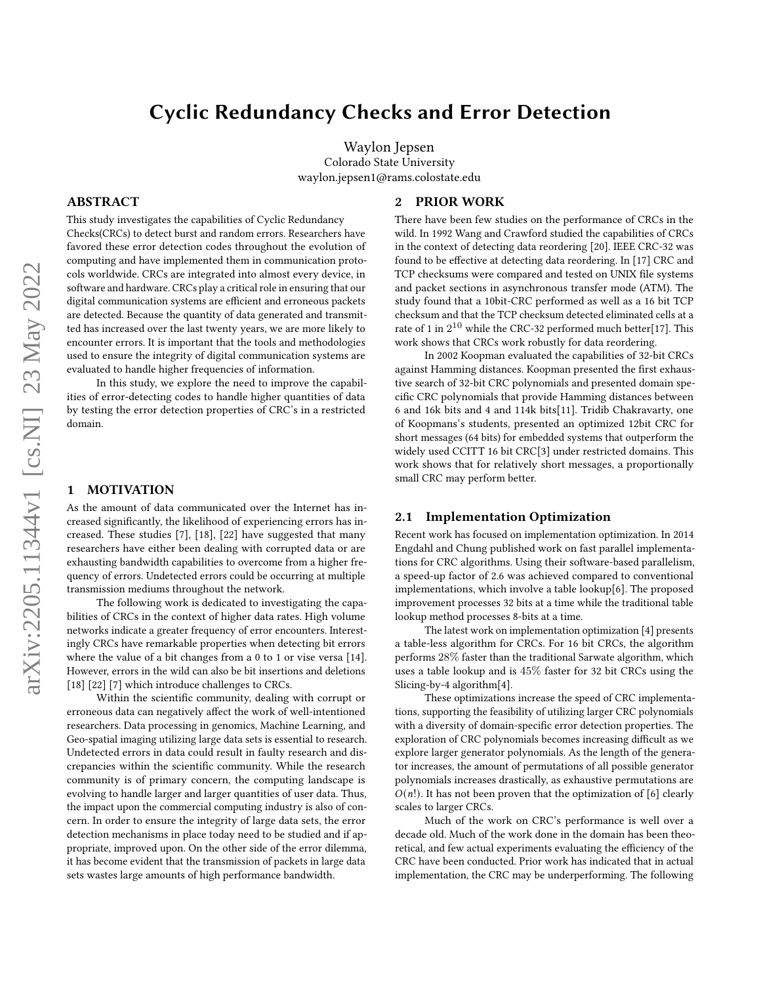# Cyclic Redundancy Checks and Error Detection

Waylon Jepsen Colorado State University waylon.jepsen1@rams.colostate.edu

2 PRIOR WORK

### ABSTRACT

This study investigates the capabilities of Cyclic Redundancy Checks(CRCs) to detect burst and random errors. Researchers have favored these error detection codes throughout the evolution of computing and have implemented them in communication protocols worldwide. CRCs are integrated into almost every device, in software and hardware. CRCs play a critical role in ensuring that our digital communication systems are efficient and erroneous packets are detected. Because the quantity of data generated and transmitted has increased over the last twenty years, we are more likely to encounter errors. It is important that the tools and methodologies used to ensure the integrity of digital communication systems are evaluated to handle higher frequencies of information.

In this study, we explore the need to improve the capabilities of error-detecting codes to handle higher quantities of data by testing the error detection properties of CRC's in a restricted domain.

#### 1 MOTIVATION

As the amount of data communicated over the Internet has increased significantly, the likelihood of experiencing errors has increased. These studies [\[7\]](#page-7-0), [\[18\]](#page-7-1), [\[22\]](#page-7-2) have suggested that many researchers have either been dealing with corrupted data or are exhausting bandwidth capabilities to overcome from a higher frequency of errors. Undetected errors could be occurring at multiple transmission mediums throughout the network.

The following work is dedicated to investigating the capabilities of CRCs in the context of higher data rates. High volume networks indicate a greater frequency of error encounters. Interestingly CRCs have remarkable properties when detecting bit errors where the value of a bit changes from a 0 to 1 or vise versa [\[14\]](#page-7-3). However, errors in the wild can also be bit insertions and deletions [\[18\]](#page-7-1) [\[22\]](#page-7-2) [\[7\]](#page-7-0) which introduce challenges to CRCs.

Within the scientific community, dealing with corrupt or erroneous data can negatively affect the work of well-intentioned researchers. Data processing in genomics, Machine Learning, and Geo-spatial imaging utilizing large data sets is essential to research. Undetected errors in data could result in faulty research and discrepancies within the scientific community. While the research community is of primary concern, the computing landscape is evolving to handle larger and larger quantities of user data. Thus, the impact upon the commercial computing industry is also of concern. In order to ensure the integrity of large data sets, the error detection mechanisms in place today need to be studied and if appropriate, improved upon. On the other side of the error dilemma, it has become evident that the transmission of packets in large data sets wastes large amounts of high performance bandwidth.

### There have been few studies on the performance of CRCs in the wild. In 1992 Wang and Crawford studied the capabilities of CRCs in the context of detecting data reordering [\[20\]](#page-7-4). IEEE CRC-32 was found to be effective at detecting data reordering. In [\[17\]](#page-7-5) CRC and TCP checksums were compared and tested on UNIX file systems and packet sections in asynchronous transfer mode (ATM). The study found that a 10bit-CRC performed as well as a 16 bit TCP checksum and that the TCP checksum detected eliminated cells at a rate of 1 in  $2^{10}$  while the CRC-32 performed much better[\[17\]](#page-7-5). This work shows that CRCs work robustly for data reordering.

In 2002 Koopman evaluated the capabilities of 32-bit CRCs against Hamming distances. Koopman presented the first exhaustive search of 32-bit CRC polynomials and presented domain specific CRC polynomials that provide Hamming distances between 6 and 16k bits and 4 and 114k bits[\[11\]](#page-7-6). Tridib Chakravarty, one of Koopmans's students, presented an optimized 12bit CRC for short messages (64 bits) for embedded systems that outperform the widely used CCITT 16 bit CRC[\[3\]](#page-7-7) under restricted domains. This work shows that for relatively short messages, a proportionally small CRC may perform better.

#### 2.1 Implementation Optimization

Recent work has focused on implementation optimization. In 2014 Engdahl and Chung published work on fast parallel implementations for CRC algorithms. Using their software-based parallelism, a speed-up factor of 2.6 was achieved compared to conventional implementations, which involve a table lookup[\[6\]](#page-7-8). The proposed improvement processes 32 bits at a time while the traditional table lookup method processes 8-bits at a time.

The latest work on implementation optimization [\[4\]](#page-7-9) presents a table-less algorithm for CRCs. For 16 bit CRCs, the algorithm performs 28% faster than the traditional Sarwate algorithm, which uses a table lookup and is 45% faster for 32 bit CRCs using the Slicing-by-4 algorithm[\[4\]](#page-7-9).

These optimizations increase the speed of CRC implementations, supporting the feasibility of utilizing larger CRC polynomials with a diversity of domain-specific error detection properties. The exploration of CRC polynomials becomes increasing difficult as we explore larger generator polynomials. As the length of the generator increases, the amount of permutations of all possible generator polynomials increases drastically, as exhaustive permutations are  $O(n!)$ . It has not been proven that the optimization of [\[6\]](#page-7-8) clearly scales to larger CRCs.

Much of the work on CRC's performance is well over a decade old. Much of the work done in the domain has been theoretical, and few actual experiments evaluating the efficiency of the CRC have been conducted. Prior work has indicated that in actual implementation, the CRC may be underperforming. The following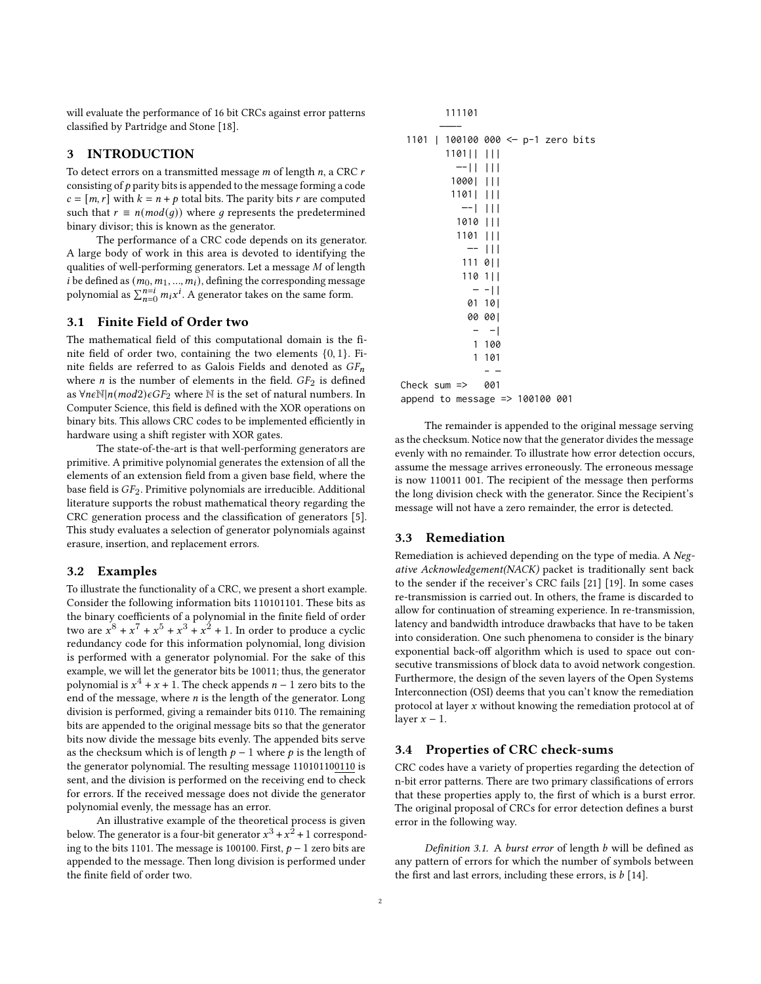will evaluate the performance of 16 bit CRCs against error patterns classified by Partridge and Stone [\[18\]](#page-7-1).

### 3 INTRODUCTION

To detect errors on a transmitted message  $m$  of length  $n$ , a CRC  $r$ consisting of  $p$  parity bits is appended to the message forming a code  $c = [m, r]$  with  $k = n + p$  total bits. The parity bits r are computed such that  $r \equiv n (mod(q))$  where g represents the predetermined binary divisor; this is known as the generator.

The performance of a CRC code depends on its generator. A large body of work in this area is devoted to identifying the qualities of well-performing generators. Let a message  $M$  of length *i* be defined as  $(m_0, m_1, ..., m_i)$ , defining the corresponding message polynomial as  $\sum_{n=0}^{n=i} m_i x^i$ . A generator takes on the same form.

#### 3.1 Finite Field of Order two

The mathematical field of this computational domain is the finite field of order two, containing the two elements {0, 1}. Finite fields are referred to as Galois Fields and denoted as  $GF_n$ where  $n$  is the number of elements in the field.  $GF<sub>2</sub>$  is defined as ∀n $\epsilon\mathbb{N}|n(mod2)$  $\epsilon$ GF<sub>2</sub> where  $\mathbb N$  is the set of natural numbers. In Computer Science, this field is defined with the XOR operations on binary bits. This allows CRC codes to be implemented efficiently in hardware using a shift register with XOR gates.

The state-of-the-art is that well-performing generators are primitive. A primitive polynomial generates the extension of all the elements of an extension field from a given base field, where the base field is  $GF_2$ . Primitive polynomials are irreducible. Additional literature supports the robust mathematical theory regarding the CRC generation process and the classification of generators [\[5\]](#page-7-10). This study evaluates a selection of generator polynomials against erasure, insertion, and replacement errors.

#### 3.2 Examples

To illustrate the functionality of a CRC, we present a short example. Consider the following information bits 110101101. These bits as the binary coefficients of a polynomial in the finite field of order two are  $x^8 + x^7 + x^5 + x^3 + x^2 + 1$ . In order to produce a cyclic redundancy code for this information polynomial, long division is performed with a generator polynomial. For the sake of this example, we will let the generator bits be 10011; thus, the generator polynomial is  $x^4 + x + 1$ . The check appends  $n - 1$  zero bits to the end of the message, where  $n$  is the length of the generator. Long division is performed, giving a remainder bits 0110. The remaining bits are appended to the original message bits so that the generator bits now divide the message bits evenly. The appended bits serve as the checksum which is of length  $p - 1$  where p is the length of the generator polynomial. The resulting message 110101100110 is sent, and the division is performed on the receiving end to check for errors. If the received message does not divide the generator polynomial evenly, the message has an error.

An illustrative example of the theoretical process is given below. The generator is a four-bit generator  $x^3 + x^2 + 1$  corresponding to the bits 1101. The message is 100100. First,  $p - 1$  zero bits are appended to the message. Then long division is performed under the finite field of order two.

| 111101                             |
|------------------------------------|
|                                    |
| 1101   100100 000 <- p-1 zero bits |
| 1101                               |
| $-11$ $111$                        |
| 1000                               |
| 1101                               |
| $-1$ 111                           |
| 1010                               |
| 1101                               |
| -- 111                             |
| 111 0                              |
| $1101$                             |
| $- -11$                            |
| 01 101                             |
| 00 001                             |
| $-1$                               |
| 1 100                              |
| 1 101                              |
|                                    |
| Check sum $\Rightarrow$ 001        |
| append to message => 100100 001    |

The remainder is appended to the original message serving as the checksum. Notice now that the generator divides the message evenly with no remainder. To illustrate how error detection occurs, assume the message arrives erroneously. The erroneous message is now 110011 001. The recipient of the message then performs the long division check with the generator. Since the Recipient's message will not have a zero remainder, the error is detected.

#### 3.3 Remediation

Remediation is achieved depending on the type of media. A Negative Acknowledgement(NACK) packet is traditionally sent back to the sender if the receiver's CRC fails [\[21\]](#page-7-11) [\[19\]](#page-7-12). In some cases re-transmission is carried out. In others, the frame is discarded to allow for continuation of streaming experience. In re-transmission, latency and bandwidth introduce drawbacks that have to be taken into consideration. One such phenomena to consider is the binary exponential back-off algorithm which is used to space out consecutive transmissions of block data to avoid network congestion. Furthermore, the design of the seven layers of the Open Systems Interconnection (OSI) deems that you can't know the remediation protocol at layer  $x$  without knowing the remediation protocol at of layer  $x - 1$ .

#### 3.4 Properties of CRC check-sums

CRC codes have a variety of properties regarding the detection of n-bit error patterns. There are two primary classifications of errors that these properties apply to, the first of which is a burst error. The original proposal of CRCs for error detection defines a burst error in the following way.

Definition 3.1. A burst error of length  $b$  will be defined as any pattern of errors for which the number of symbols between the first and last errors, including these errors, is  $b$  [\[14\]](#page-7-3).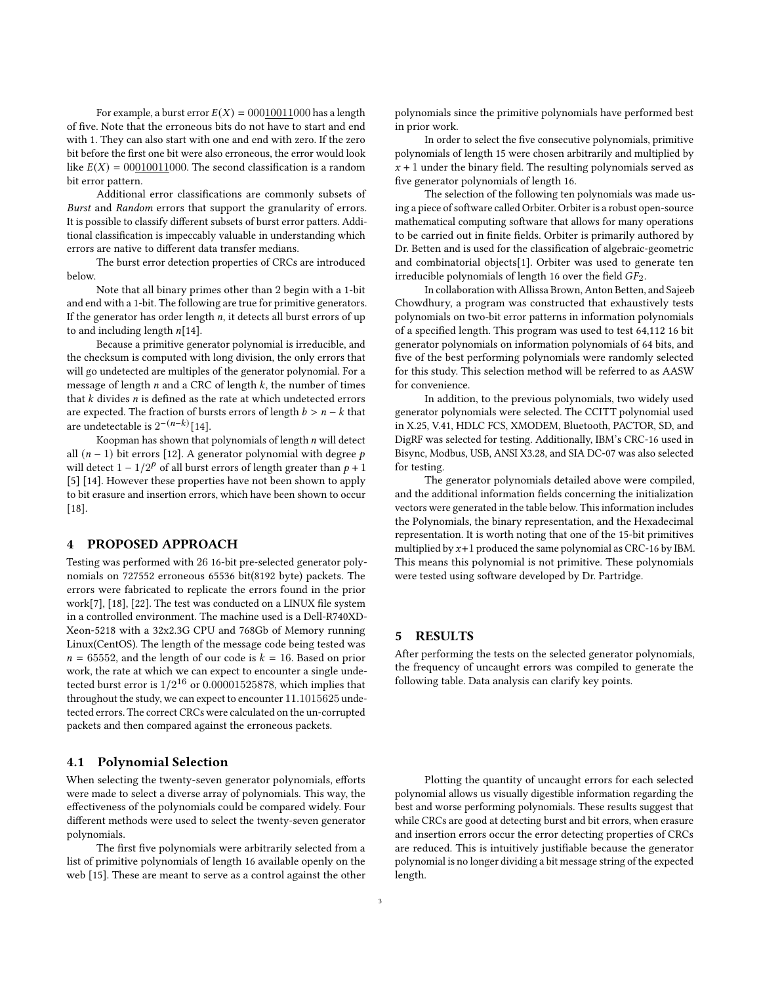For example, a burst error  $E(X) = 00010011000$  has a length of five. Note that the erroneous bits do not have to start and end with 1. They can also start with one and end with zero. If the zero bit before the first one bit were also erroneous, the error would look like  $E(X) = 00010011000$ . The second classification is a random bit error pattern.

Additional error classifications are commonly subsets of Burst and Random errors that support the granularity of errors. It is possible to classify different subsets of burst error patters. Additional classification is impeccably valuable in understanding which errors are native to different data transfer medians.

The burst error detection properties of CRCs are introduced below.

Note that all binary primes other than 2 begin with a 1-bit and end with a 1-bit. The following are true for primitive generators. If the generator has order length  $n$ , it detects all burst errors of up to and including length  $n[14]$  $n[14]$ .

Because a primitive generator polynomial is irreducible, and the checksum is computed with long division, the only errors that will go undetected are multiples of the generator polynomial. For a message of length  $n$  and a CRC of length  $k$ , the number of times that  $k$  divides  $n$  is defined as the rate at which undetected errors are expected. The fraction of bursts errors of length  $b > n - k$  that are undetectable is  $2^{-(n-k)}$  [\[14\]](#page-7-3).

Koopman has shown that polynomials of length  $n$  will detect all ( $n - 1$ ) bit errors [\[12\]](#page-7-13). A generator polynomial with degree  $p$ will detect  $1 - 1/2^p$  of all burst errors of length greater than  $p + 1$ [\[5\]](#page-7-10) [\[14\]](#page-7-3). However these properties have not been shown to apply to bit erasure and insertion errors, which have been shown to occur [\[18\]](#page-7-1).

#### 4 PROPOSED APPROACH

Testing was performed with 26 16-bit pre-selected generator polynomials on 727552 erroneous 65536 bit(8192 byte) packets. The errors were fabricated to replicate the errors found in the prior work[\[7\]](#page-7-0), [\[18\]](#page-7-1), [\[22\]](#page-7-2). The test was conducted on a LINUX file system in a controlled environment. The machine used is a Dell-R740XD-Xeon-5218 with a 32x2.3G CPU and 768Gb of Memory running Linux(CentOS). The length of the message code being tested was  $n = 65552$ , and the length of our code is  $k = 16$ . Based on prior work, the rate at which we can expect to encounter a single undetected burst error is  $1/2^{16}$  or  $0.00001525878$ , which implies that throughout the study, we can expect to encounter 11.1015625 undetected errors. The correct CRCs were calculated on the un-corrupted packets and then compared against the erroneous packets.

#### 4.1 Polynomial Selection

When selecting the twenty-seven generator polynomials, efforts were made to select a diverse array of polynomials. This way, the effectiveness of the polynomials could be compared widely. Four different methods were used to select the twenty-seven generator polynomials.

The first five polynomials were arbitrarily selected from a list of primitive polynomials of length 16 available openly on the web [\[15\]](#page-7-14). These are meant to serve as a control against the other polynomials since the primitive polynomials have performed best in prior work.

In order to select the five consecutive polynomials, primitive polynomials of length 15 were chosen arbitrarily and multiplied by  $x + 1$  under the binary field. The resulting polynomials served as five generator polynomials of length 16.

The selection of the following ten polynomials was made using a piece of software called Orbiter. Orbiter is a robust open-source mathematical computing software that allows for many operations to be carried out in finite fields. Orbiter is primarily authored by Dr. Betten and is used for the classification of algebraic-geometric and combinatorial objects[\[1\]](#page-7-15). Orbiter was used to generate ten irreducible polynomials of length 16 over the field  $GF<sub>2</sub>$ .

In collaboration with Allissa Brown, Anton Betten, and Sajeeb Chowdhury, a program was constructed that exhaustively tests polynomials on two-bit error patterns in information polynomials of a specified length. This program was used to test 64,112 16 bit generator polynomials on information polynomials of 64 bits, and five of the best performing polynomials were randomly selected for this study. This selection method will be referred to as AASW for convenience.

In addition, to the previous polynomials, two widely used generator polynomials were selected. The CCITT polynomial used in X.25, V.41, HDLC FCS, XMODEM, Bluetooth, PACTOR, SD, and DigRF was selected for testing. Additionally, IBM's CRC-16 used in Bisync, Modbus, USB, ANSI X3.28, and SIA DC-07 was also selected for testing.

The generator polynomials detailed above were compiled, and the additional information fields concerning the initialization vectors were generated in the table below. This information includes the Polynomials, the binary representation, and the Hexadecimal representation. It is worth noting that one of the 15-bit primitives multiplied by  $x+1$  produced the same polynomial as CRC-16 by IBM. This means this polynomial is not primitive. These polynomials were tested using software developed by Dr. Partridge.

### 5 RESULTS

After performing the tests on the selected generator polynomials, the frequency of uncaught errors was compiled to generate the following table. Data analysis can clarify key points.

Plotting the quantity of uncaught errors for each selected polynomial allows us visually digestible information regarding the best and worse performing polynomials. These results suggest that while CRCs are good at detecting burst and bit errors, when erasure and insertion errors occur the error detecting properties of CRCs are reduced. This is intuitively justifiable because the generator polynomial is no longer dividing a bit message string of the expected length.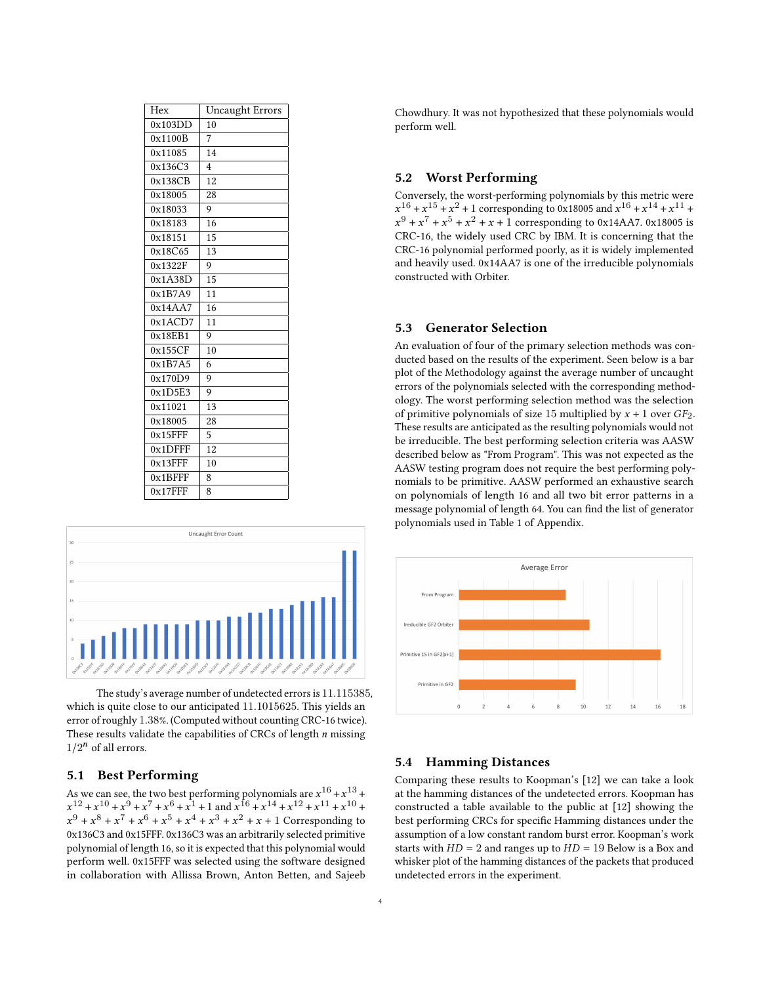| Hex        | <b>Uncaught Errors</b> |
|------------|------------------------|
| 0x103DD    | 10                     |
| 0x1100B    | 7                      |
| 0x11085    | 14                     |
| 0x136C3    | $\overline{4}$         |
| 0x138CB    | 12                     |
| 0x18005    | 28                     |
| 0x18033    | 9                      |
| 0x18183    | 16                     |
| 0x18151    | 15                     |
| 0x18C65    | 13                     |
| 0x1322F    | 9                      |
| 0x1A38D    | 15                     |
| 0x1B7A9    | 11                     |
| 0x14AA7    | 16                     |
| 0x1ACD7    | 11                     |
| 0x18EB1    | 9                      |
| 0x155CF    | 10                     |
| 0x1B7A5    | 6                      |
| 0x170D9    | 9                      |
| 0x1D5E3    | 9                      |
| 0x11021    | 13                     |
| 0x18005    | 28                     |
| $0x15$ FFF | 5                      |
| $0x1$ DFFF | 12                     |
| $0x13$ FFF | 10                     |
| 0x1BFFF    | 8                      |
| $0x17$ FFF | 8                      |



The study's average number of undetected errors is 11.115385, which is quite close to our anticipated 11.1015625. This yields an error of roughly 1.38%. (Computed without counting CRC-16 twice). These results validate the capabilities of CRCs of length  $n$  missing  $1/2^n$  of all errors.

#### 5.1 Best Performing

As we can see, the two best performing polynomials are  $x^{16}$  +  $x^{13}$  +  $x^{12} + x^{10} + x^9 + x^7 + x^6 + x^1 + 1$  and  $x^{16} + x^{14} + x^{12} + x^{11} + x^{10} + x^{10}$  $x^9 + x^8 + x^7 + x^6 + x^5 + x^4 + x^3 + x^2 + x + 1$  Corresponding to 0x136C3 and 0x15FFF. 0x136C3 was an arbitrarily selected primitive polynomial of length 16, so it is expected that this polynomial would perform well. 0x15FFF was selected using the software designed in collaboration with Allissa Brown, Anton Betten, and Sajeeb Chowdhury. It was not hypothesized that these polynomials would perform well.

### 5.2 Worst Performing

Conversely, the worst-performing polynomials by this metric were  $x^{16} + x^{15} + x^2 + 1$  corresponding to 0x18005 and  $x^{16} + x^{14} + x^{11} + x^{16} + x^{17} + x^{18} + x^{19} + x^{19} + x^{10} + x^{11} + x^{11} + x^{10} + x^{11} + x^{10} + x^{11} + x^{10} + x^{11} + x^{10} + x^{11} + x^{11} + x^{10} + x^{11} + x^{10} + x^{11} + x^{10} + x^{11} + x^{10} + x^{11} + x^{$  $x^9 + x^7 + x^5 + x^2 + x + 1$  corresponding to 0x14AA7. 0x18005 is CRC-16, the widely used CRC by IBM. It is concerning that the CRC-16 polynomial performed poorly, as it is widely implemented and heavily used. 0x14AA7 is one of the irreducible polynomials constructed with Orbiter.

### 5.3 Generator Selection

An evaluation of four of the primary selection methods was conducted based on the results of the experiment. Seen below is a bar plot of the Methodology against the average number of uncaught errors of the polynomials selected with the corresponding methodology. The worst performing selection method was the selection of primitive polynomials of size 15 multiplied by  $x + 1$  over  $GF_2$ . These results are anticipated as the resulting polynomials would not be irreducible. The best performing selection criteria was AASW described below as "From Program". This was not expected as the AASW testing program does not require the best performing polynomials to be primitive. AASW performed an exhaustive search on polynomials of length 16 and all two bit error patterns in a message polynomial of length 64. You can find the list of generator polynomials used in Table [1](#page-6-0) of Appendix.



#### 5.4 Hamming Distances

Comparing these results to Koopman's [\[12\]](#page-7-13) we can take a look at the hamming distances of the undetected errors. Koopman has constructed a table available to the public at [\[12\]](#page-7-13) showing the best performing CRCs for specific Hamming distances under the assumption of a low constant random burst error. Koopman's work starts with  $HD = 2$  and ranges up to  $HD = 19$  Below is a Box and whisker plot of the hamming distances of the packets that produced undetected errors in the experiment.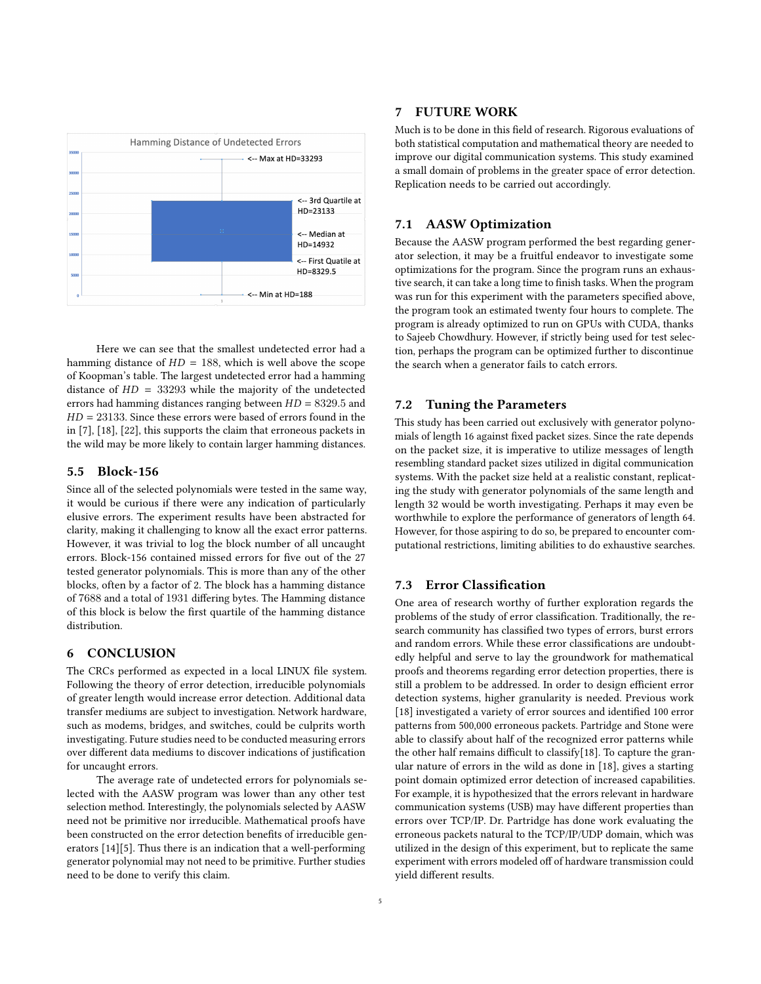

Here we can see that the smallest undetected error had a hamming distance of  $HD = 188$ , which is well above the scope of Koopman's table. The largest undetected error had a hamming distance of  $HD = 33293$  while the majority of the undetected errors had hamming distances ranging between  $HD = 8329.5$  and  $HD = 23133$ . Since these errors were based of errors found in the in [\[7\]](#page-7-0), [\[18\]](#page-7-1), [\[22\]](#page-7-2), this supports the claim that erroneous packets in the wild may be more likely to contain larger hamming distances.

#### 5.5 Block-156

Since all of the selected polynomials were tested in the same way, it would be curious if there were any indication of particularly elusive errors. The experiment results have been abstracted for clarity, making it challenging to know all the exact error patterns. However, it was trivial to log the block number of all uncaught errors. Block-156 contained missed errors for five out of the 27 tested generator polynomials. This is more than any of the other blocks, often by a factor of 2. The block has a hamming distance of 7688 and a total of 1931 differing bytes. The Hamming distance of this block is below the first quartile of the hamming distance distribution.

### 6 CONCLUSION

The CRCs performed as expected in a local LINUX file system. Following the theory of error detection, irreducible polynomials of greater length would increase error detection. Additional data transfer mediums are subject to investigation. Network hardware, such as modems, bridges, and switches, could be culprits worth investigating. Future studies need to be conducted measuring errors over different data mediums to discover indications of justification for uncaught errors.

The average rate of undetected errors for polynomials selected with the AASW program was lower than any other test selection method. Interestingly, the polynomials selected by AASW need not be primitive nor irreducible. Mathematical proofs have been constructed on the error detection benefits of irreducible generators [\[14\]](#page-7-3)[\[5\]](#page-7-10). Thus there is an indication that a well-performing generator polynomial may not need to be primitive. Further studies need to be done to verify this claim.

### 7 FUTURE WORK

Much is to be done in this field of research. Rigorous evaluations of both statistical computation and mathematical theory are needed to improve our digital communication systems. This study examined a small domain of problems in the greater space of error detection. Replication needs to be carried out accordingly.

### 7.1 AASW Optimization

Because the AASW program performed the best regarding generator selection, it may be a fruitful endeavor to investigate some optimizations for the program. Since the program runs an exhaustive search, it can take a long time to finish tasks. When the program was run for this experiment with the parameters specified above, the program took an estimated twenty four hours to complete. The program is already optimized to run on GPUs with CUDA, thanks to Sajeeb Chowdhury. However, if strictly being used for test selection, perhaps the program can be optimized further to discontinue the search when a generator fails to catch errors.

### 7.2 Tuning the Parameters

This study has been carried out exclusively with generator polynomials of length 16 against fixed packet sizes. Since the rate depends on the packet size, it is imperative to utilize messages of length resembling standard packet sizes utilized in digital communication systems. With the packet size held at a realistic constant, replicating the study with generator polynomials of the same length and length 32 would be worth investigating. Perhaps it may even be worthwhile to explore the performance of generators of length 64. However, for those aspiring to do so, be prepared to encounter computational restrictions, limiting abilities to do exhaustive searches.

#### 7.3 Error Classification

One area of research worthy of further exploration regards the problems of the study of error classification. Traditionally, the research community has classified two types of errors, burst errors and random errors. While these error classifications are undoubtedly helpful and serve to lay the groundwork for mathematical proofs and theorems regarding error detection properties, there is still a problem to be addressed. In order to design efficient error detection systems, higher granularity is needed. Previous work [\[18\]](#page-7-1) investigated a variety of error sources and identified 100 error patterns from 500,000 erroneous packets. Partridge and Stone were able to classify about half of the recognized error patterns while the other half remains difficult to classify[\[18\]](#page-7-1). To capture the granular nature of errors in the wild as done in [\[18\]](#page-7-1), gives a starting point domain optimized error detection of increased capabilities. For example, it is hypothesized that the errors relevant in hardware communication systems (USB) may have different properties than errors over TCP/IP. Dr. Partridge has done work evaluating the erroneous packets natural to the TCP/IP/UDP domain, which was utilized in the design of this experiment, but to replicate the same experiment with errors modeled off of hardware transmission could yield different results.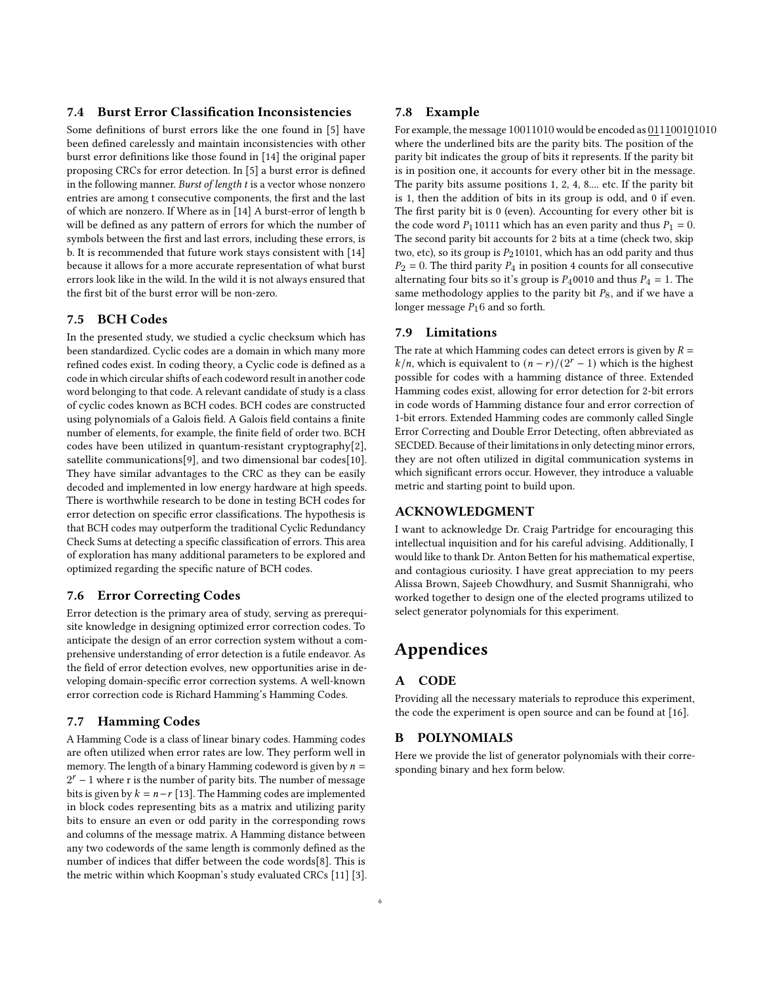### 7.4 Burst Error Classification Inconsistencies

Some definitions of burst errors like the one found in [\[5\]](#page-7-10) have been defined carelessly and maintain inconsistencies with other burst error definitions like those found in [\[14\]](#page-7-3) the original paper proposing CRCs for error detection. In [\[5\]](#page-7-10) a burst error is defined in the following manner. Burst of length t is a vector whose nonzero entries are among t consecutive components, the first and the last of which are nonzero. If Where as in [\[14\]](#page-7-3) A burst-error of length b will be defined as any pattern of errors for which the number of symbols between the first and last errors, including these errors, is b. It is recommended that future work stays consistent with [\[14\]](#page-7-3) because it allows for a more accurate representation of what burst errors look like in the wild. In the wild it is not always ensured that the first bit of the burst error will be non-zero.

### 7.5 BCH Codes

In the presented study, we studied a cyclic checksum which has been standardized. Cyclic codes are a domain in which many more refined codes exist. In coding theory, a Cyclic code is defined as a code in which circular shifts of each codeword result in another code word belonging to that code. A relevant candidate of study is a class of cyclic codes known as BCH codes. BCH codes are constructed using polynomials of a Galois field. A Galois field contains a finite number of elements, for example, the finite field of order two. BCH codes have been utilized in quantum-resistant cryptography[\[2\]](#page-7-16), satellite communications[\[9\]](#page-7-17), and two dimensional bar codes[\[10\]](#page-7-18). They have similar advantages to the CRC as they can be easily decoded and implemented in low energy hardware at high speeds. There is worthwhile research to be done in testing BCH codes for error detection on specific error classifications. The hypothesis is that BCH codes may outperform the traditional Cyclic Redundancy Check Sums at detecting a specific classification of errors. This area of exploration has many additional parameters to be explored and optimized regarding the specific nature of BCH codes.

### 7.6 Error Correcting Codes

Error detection is the primary area of study, serving as prerequisite knowledge in designing optimized error correction codes. To anticipate the design of an error correction system without a comprehensive understanding of error detection is a futile endeavor. As the field of error detection evolves, new opportunities arise in developing domain-specific error correction systems. A well-known error correction code is Richard Hamming's Hamming Codes.

### 7.7 Hamming Codes

A Hamming Code is a class of linear binary codes. Hamming codes are often utilized when error rates are low. They perform well in memory. The length of a binary Hamming codeword is given by  $n =$  $2<sup>r</sup> - 1$  where r is the number of parity bits. The number of message bits is given by  $k = n-r$  [\[13\]](#page-7-19). The Hamming codes are implemented in block codes representing bits as a matrix and utilizing parity bits to ensure an even or odd parity in the corresponding rows and columns of the message matrix. A Hamming distance between any two codewords of the same length is commonly defined as the number of indices that differ between the code words[\[8\]](#page-7-20). This is the metric within which Koopman's study evaluated CRCs [\[11\]](#page-7-6) [\[3\]](#page-7-7).

#### 7.8 Example

For example, the message 10011010 would be encoded as 011100101010 where the underlined bits are the parity bits. The position of the parity bit indicates the group of bits it represents. If the parity bit is in position one, it accounts for every other bit in the message. The parity bits assume positions 1, 2, 4, 8.... etc. If the parity bit is 1, then the addition of bits in its group is odd, and 0 if even. The first parity bit is 0 (even). Accounting for every other bit is the code word  $P_1$ 10111 which has an even parity and thus  $P_1 = 0$ . The second parity bit accounts for 2 bits at a time (check two, skip two, etc), so its group is  $P_2$ 10101, which has an odd parity and thus  $P_2 = 0$ . The third parity  $P_4$  in position 4 counts for all consecutive alternating four bits so it's group is  $P_4$ 0010 and thus  $P_4 = 1$ . The same methodology applies to the parity bit  $P_8$ , and if we have a longer message  $P_16$  and so forth.

### 7.9 Limitations

The rate at which Hamming codes can detect errors is given by  $R =$  $k/n$ , which is equivalent to  $(n - r)/(2^{r} - 1)$  which is the highest possible for codes with a hamming distance of three. Extended Hamming codes exist, allowing for error detection for 2-bit errors in code words of Hamming distance four and error correction of 1-bit errors. Extended Hamming codes are commonly called Single Error Correcting and Double Error Detecting, often abbreviated as SECDED. Because of their limitations in only detecting minor errors, they are not often utilized in digital communication systems in which significant errors occur. However, they introduce a valuable metric and starting point to build upon.

### ACKNOWLEDGMENT

I want to acknowledge Dr. Craig Partridge for encouraging this intellectual inquisition and for his careful advising. Additionally, I would like to thank Dr. Anton Betten for his mathematical expertise, and contagious curiosity. I have great appreciation to my peers Alissa Brown, Sajeeb Chowdhury, and Susmit Shannigrahi, who worked together to design one of the elected programs utilized to select generator polynomials for this experiment.

## Appendices

#### A CODE

Providing all the necessary materials to reproduce this experiment, the code the experiment is open source and can be found at [\[16\]](#page-7-21).

#### B POLYNOMIALS

Here we provide the list of generator polynomials with their corresponding binary and hex form below.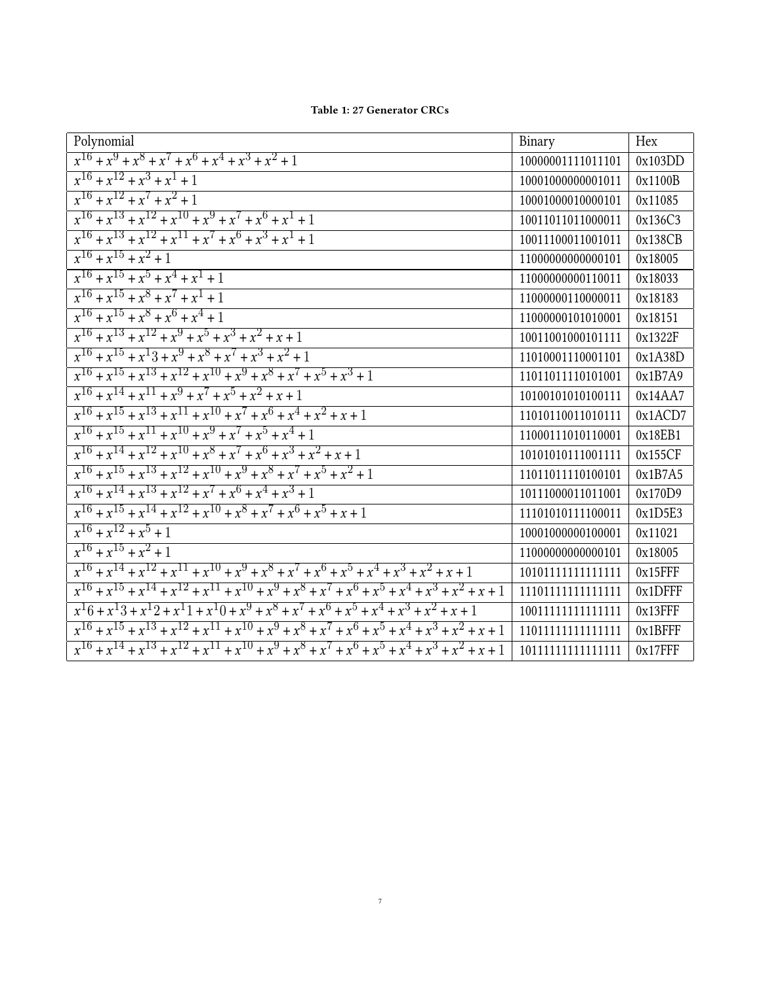<span id="page-6-0"></span>

| Polynomial                                                                                                    | Binary             | Hex        |
|---------------------------------------------------------------------------------------------------------------|--------------------|------------|
| $x^{16} + x^9 + x^8 + x^7 + x^6 + x^4 + x^3 + x^2 + 1$                                                        | 10000001111011101  | 0x103DD    |
| $x^{16} + x^{12} + x^3 + x^1 + 1$                                                                             | 10001000000001011  | 0x1100B    |
| $x^{16} + x^{12} + x^7 + x^2 + 1$                                                                             | 10001000010000101  | 0x11085    |
| $x^{16} + x^{13} + x^{12} + x^{10} + x^9 + x^7 + x^6 + x^1 + 1$                                               | 10011011011000011  | 0x136C3    |
| $x^{16} + x^{13} + x^{12} + x^{11} + x^7 + x^6 + x^3 + x^1 + 1$                                               | 10011100011001011  | 0x138CB    |
| $x^{16} + x^{15} + x^2 + 1$                                                                                   | 11000000000000101  | 0x18005    |
| $x^{16} + x^{15} + x^5 + x^4 + x^1 + 1$                                                                       | 11000000000110011  | 0x18033    |
| $x^{16} + x^{15} + x^8 + x^7 + x^1 + 1$                                                                       | 11000000110000011  | 0x18183    |
| $x^{16} + x^{15} + x^8 + x^6 + x^4 + 1$                                                                       | 11000000101010001  | 0x18151    |
| $x^{16} + x^{13} + x^{12} + x^9 + x^5 + x^3 + x^2 + x + 1$                                                    | 10011001000101111  | 0x1322F    |
| $x^{16} + x^{15} + x^13 + x^9 + x^8 + x^7 + x^3 + x^2 + 1$                                                    | 11010001110001101  | 0x1A38D    |
| $x^{16} + x^{15} + x^{13} + x^{12} + x^{10} + x^9 + x^8 + x^7 + x^5 + x^3 + 1$                                | 11011011110101001  | 0x1B7A9    |
| $x^{16} + x^{14} + x^{11} + x^9 + x^7 + x^5 + x^2 + x + 1$                                                    | 10100101010100111  | 0x14AA7    |
| $x^{16} + x^{15} + x^{13} + x^{11} + x^{10} + x^7 + x^6 + x^4 + x^2 + x + 1$                                  | 11010110011010111  | 0x1ACD7    |
| $x^{16} + x^{15} + x^{11} + x^{10} + x^9 + x^7 + x^5 + x^4 + 1$                                               | 11000111010110001  | 0x18EB1    |
| $x^{16} + x^{14} + x^{12} + x^{10} + x^8 + x^7 + x^6 + x^3 + x^2 + x + 1$                                     | 10101010111001111  | 0x155CF    |
| $x^{16} + x^{15} + x^{13} + x^{12} + x^{10} + x^9 + x^8 + x^7 + x^5 + x^2 + 1$                                | 11011011110100101  | 0x1B7A5    |
| $x^{16} + x^{14} + x^{13} + x^{12} + x^7 + x^6 + x^4 + x^3 + 1$                                               | 10111000011011001  | 0x170D9    |
| $x^{16} + x^{15} + x^{14} + x^{12} + x^{10} + x^8 + x^7 + x^6 + x^5 + x + 1$                                  | 11101010111100011  | 0x1D5E3    |
| $x^{16} + x^{12} + x^5 + 1$                                                                                   | 10001000000100001  | 0x11021    |
| $x^{16} + x^{15} + x^2 + 1$                                                                                   | 11000000000000101  | 0x18005    |
| $x^{16} + x^{14} + x^{12} + x^{11} + x^{10} + x^9 + x^8 + x^7 + x^6 + x^5 + x^4 + x^3 + x^2 + x + 1$          | 10101111111111111  | $0x15$ FFF |
| $x^{16} + x^{15} + x^{14} + x^{12} + x^{11} + x^{10} + x^9 + x^8 + x^7 + x^6 + x^5 + x^4 + x^3 + x^2 + x + 1$ | 111011111111111111 | $0x1$ DFFF |
| $x^16 + x^13 + x^12 + x^11 + x^10 + x^9 + x^8 + x^7 + x^6 + x^5 + x^4 + x^3 + x^2 + x + 1$                    | 10011111111111111  | $0x13$ FFF |
| $x^{16} + x^{15} + x^{13} + x^{12} + x^{11} + x^{10} + x^9 + x^8 + x^7 + x^6 + x^5 + x^4 + x^3 + x^2 + x + 1$ | 11011111111111111  | 0x1BFFF    |
| $x^{16} + x^{14} + x^{13} + x^{12} + x^{11} + x^{10} + x^9 + x^8 + x^7 + x^6 + x^5 + x^4 + x^3 + x^2 + x + 1$ | 10111111111111111  | $0x17$ FFF |

Table 1: 27 Generator CRCs